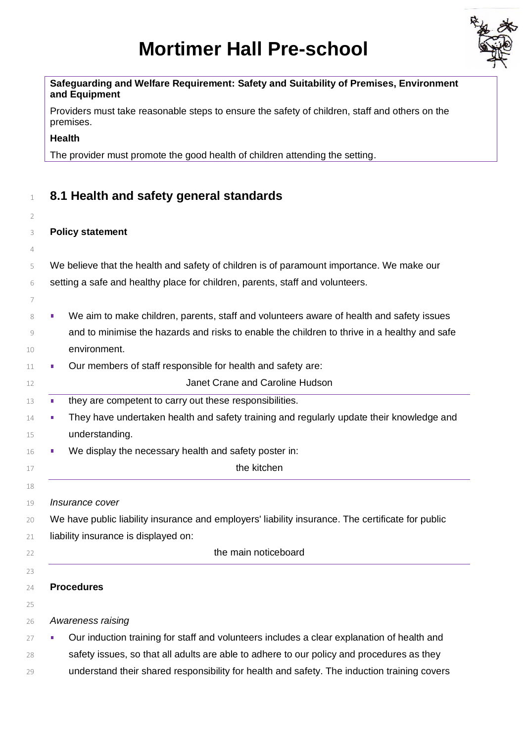# **Mortimer Hall Pre-school**



#### **Safeguarding and Welfare Requirement: Safety and Suitability of Premises, Environment and Equipment**

Providers must take reasonable steps to ensure the safety of children, staff and others on the premises.

**Health**

The provider must promote the good health of children attending the setting.

# **8.1 Health and safety general standards**

 $\overline{2}$ 

# **Policy statement**

- We believe that the health and safety of children is of paramount importance. We make our setting a safe and healthy place for children, parents, staff and volunteers.
- 8 We aim to make children, parents, staff and volunteers aware of health and safety issues and to minimise the hazards and risks to enable the children to thrive in a healthy and safe environment.
- **Dur members of staff responsible for health and safety are:**
- Janet Crane and Caroline Hudson
- **they are competent to carry out these responsibilities.**
- **They have undertaken health and safety training and regularly update their knowledge and** understanding.
- **We display the necessary health and safety poster in:**
- 17 the kitchen

*Insurance cover*

- We have public liability insurance and employers' liability insurance. The certificate for public
- liability insurance is displayed on:
- 
- 

## **Procedures**

- *Awareness raising*
- <sup>27</sup> Uur induction training for staff and volunteers includes a clear explanation of health and
- 28 safety issues, so that all adults are able to adhere to our policy and procedures as they
- understand their shared responsibility for health and safety. The induction training covers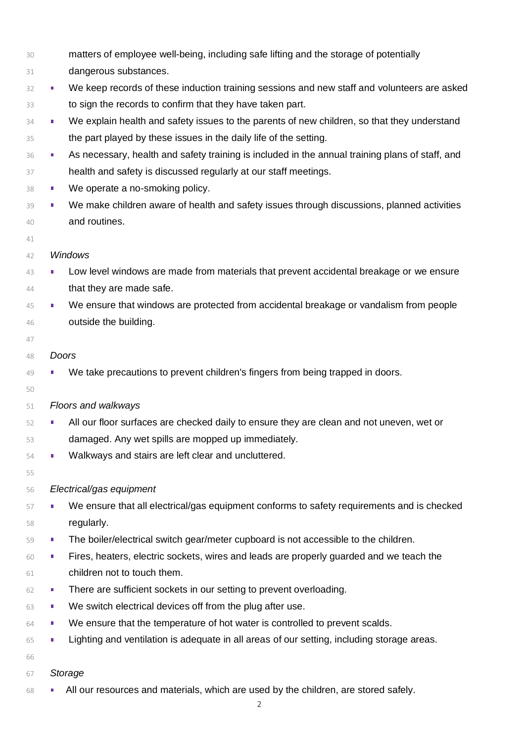- matters of employee well-being, including safe lifting and the storage of potentially
- 31 dangerous substances.
- <sup>32</sup> We keep records of these induction training sessions and new staff and volunteers are asked to sign the records to confirm that they have taken part.
- <sup>34</sup> We explain health and safety issues to the parents of new children, so that they understand the part played by these issues in the daily life of the setting.
- 36 As necessary, health and safety training is included in the annual training plans of staff, and health and safety is discussed regularly at our staff meetings.
- 38 We operate a no-smoking policy.
- We make children aware of health and safety issues through discussions, planned activities and routines.
- 

#### *Windows*

- <sup>43</sup> Low level windows are made from materials that prevent accidental breakage or we ensure that they are made safe.
- <sup>45</sup> We ensure that windows are protected from accidental breakage or vandalism from people outside the building.
- 
- *Doors*
- We take precautions to prevent children's fingers from being trapped in doors.
- 
- *Floors and walkways*
- **All our floor surfaces are checked daily to ensure they are clean and not uneven, wet or** damaged. Any wet spills are mopped up immediately.
- **Walkways and stairs are left clear and uncluttered.**
- 

## *Electrical/gas equipment*

- 57 We ensure that all electrical/gas equipment conforms to safety requirements and is checked regularly.
- <sup>59</sup> The boiler/electrical switch gear/meter cupboard is not accessible to the children.
- Fires, heaters, electric sockets, wires and leads are properly guarded and we teach the children not to touch them.
- **EXECUTE:** There are sufficient sockets in our setting to prevent overloading.
- **We switch electrical devices off from the plug after use.**
- We ensure that the temperature of hot water is controlled to prevent scalds.
- Lighting and ventilation is adequate in all areas of our setting, including storage areas.
- 
- *Storage*
- **All our resources and materials, which are used by the children, are stored safely.**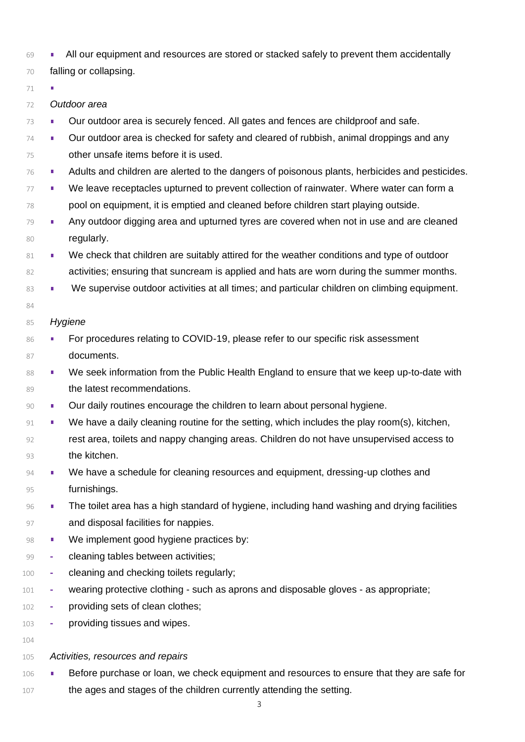- **All our equipment and resources are stored or stacked safely to prevent them accidentally**
- falling or collapsing.
- 

 $\mathbf{r}$ 

- *Outdoor area*
- **Dur outdoor area is securely fenced. All gates and fences are childproof and safe.**
- **Dur outdoor area is checked for safety and cleared of rubbish, animal droppings and any** other unsafe items before it is used.
- **Adults and children are alerted to the dangers of poisonous plants, herbicides and pesticides.**
- 77 We leave receptacles upturned to prevent collection of rainwater. Where water can form a pool on equipment, it is emptied and cleaned before children start playing outside.
- <sup>79</sup> Any outdoor digging area and upturned tyres are covered when not in use and are cleaned 80 regularly.
- 81 We check that children are suitably attired for the weather conditions and type of outdoor activities; ensuring that suncream is applied and hats are worn during the summer months.
- 83 We supervise outdoor activities at all times; and particular children on climbing equipment.

## *Hygiene*

- 86 For procedures relating to COVID-19, please refer to our specific risk assessment 87 documents.
- 88 We seek information from the Public Health England to ensure that we keep up-to-date with **the latest recommendations.**
- **Our daily routines encourage the children to learn about personal hygiene.**
- 91 We have a daily cleaning routine for the setting, which includes the play room(s), kitchen, rest area, toilets and nappy changing areas. Children do not have unsupervised access to the kitchen.
- 94 We have a schedule for cleaning resources and equipment, dressing-up clothes and furnishings.
- 96 The toilet area has a high standard of hygiene, including hand washing and drying facilities **and disposal facilities for nappies.**
- **We implement good hygiene practices by:**
- **-** cleaning tables between activities;
- **-** cleaning and checking toilets regularly;
- **-** wearing protective clothing such as aprons and disposable gloves as appropriate;
- **-** providing sets of clean clothes;
- **-** providing tissues and wipes.
- 
- *Activities, resources and repairs*
- 106 Before purchase or loan, we check equipment and resources to ensure that they are safe for the ages and stages of the children currently attending the setting.
	-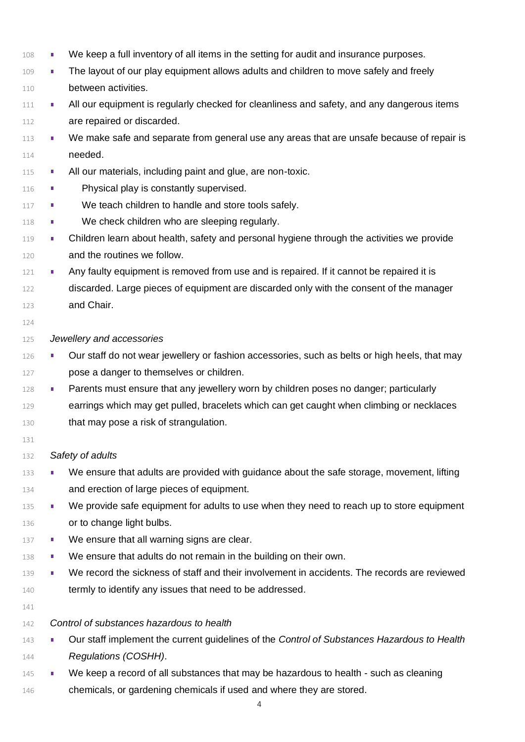We keep a full inventory of all items in the setting for audit and insurance purposes. **The layout of our play equipment allows adults and children to move safely and freely**  between activities. <sup>111</sup> All our equipment is regularly checked for cleanliness and safety, and any dangerous items **are repaired or discarded.** 113 We make safe and separate from general use any areas that are unsafe because of repair is needed. **All our materials, including paint and glue, are non-toxic.** 116 Physical play is constantly supervised. **E** We teach children to handle and store tools safely. 118 • We check children who are sleeping regularly. 119 • Children learn about health, safety and personal hygiene through the activities we provide and the routines we follow. 121 • Any faulty equipment is removed from use and is repaired. If it cannot be repaired it is discarded. Large pieces of equipment are discarded only with the consent of the manager and Chair. *Jewellery and accessories* **Our staff do not wear jewellery or fashion accessories, such as belts or high heels, that may**  pose a danger to themselves or children. 128 Parents must ensure that any jewellery worn by children poses no danger; particularly 129 earrings which may get pulled, bracelets which can get caught when climbing or necklaces that may pose a risk of strangulation. *Safety of adults* 133 We ensure that adults are provided with guidance about the safe storage, movement, lifting and erection of large pieces of equipment. 135 We provide safe equipment for adults to use when they need to reach up to store equipment 136 or to change light bulbs. 137 • We ensure that all warning signs are clear. **We ensure that adults do not remain in the building on their own.** 139 We record the sickness of staff and their involvement in accidents. The records are reviewed 140 termly to identify any issues that need to be addressed. *Control of substances hazardous to health* Our staff implement the current guidelines of the *Control of Substances Hazardous to Health Regulations (COSHH)*. 145 We keep a record of all substances that may be hazardous to health - such as cleaning chemicals, or gardening chemicals if used and where they are stored.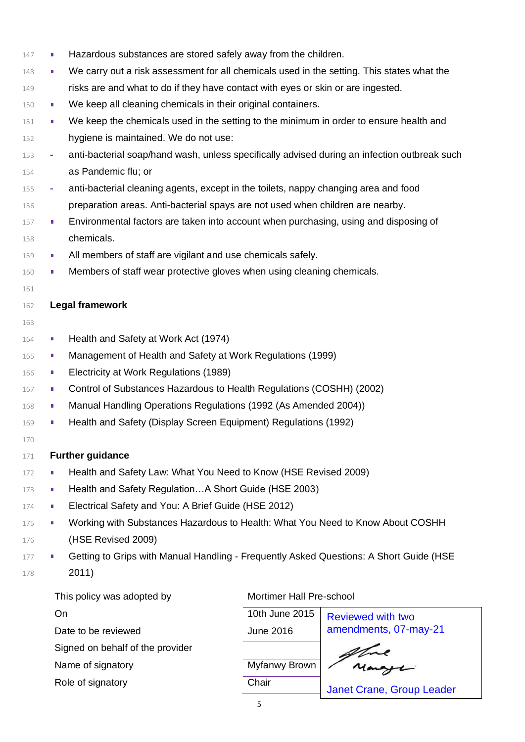148 We carry out a risk assessment for all chemicals used in the setting. This states what the risks are and what to do if they have contact with eyes or skin or are ingested. **We keep all cleaning chemicals in their original containers.**  We keep the chemicals used in the setting to the minimum in order to ensure health and hygiene is maintained. We do not use: **-** anti-bacterial soap/hand wash, unless specifically advised during an infection outbreak such as Pandemic flu; or **-** anti-bacterial cleaning agents, except in the toilets, nappy changing area and food preparation areas. Anti-bacterial spays are not used when children are nearby. **Environmental factors are taken into account when purchasing, using and disposing of**  chemicals. **All members of staff are vigilant and use chemicals safely.** 160 • Members of staff wear protective gloves when using cleaning chemicals. 161

147 **Hazardous substances are stored safely away from the children.** 

#### 162 **Legal framework**

- 163
- 164 Health and Safety at Work Act (1974)
- 165 Management of Health and Safety at Work Regulations (1999)
- 166 **Electricity at Work Regulations (1989)**
- 167 Control of Substances Hazardous to Health Regulations (COSHH) (2002)
- 168 Manual Handling Operations Regulations (1992 (As Amended 2004))
- 169 **Health and Safety (Display Screen Equipment) Regulations (1992)**
- 170

#### 171 **Further guidance**

- 172 **Health and Safety Law: What You Need to Know (HSE Revised 2009)**
- 173 **Health and Safety Regulation...A Short Guide (HSE 2003)**
- 174 **Electrical Safety and You: A Brief Guide (HSE 2012)**
- 175 Working with Substances Hazardous to Health: What You Need to Know About COSHH 176 (HSE Revised 2009)
- 177 Getting to Grips with Manual Handling Frequently Asked Questions: A Short Guide (HSE 178 2011)

| This policy was adopted by | <b>Mortimer Hall P</b> |
|----------------------------|------------------------|
| . On                       | 10th June 2015         |

Date to be reviewed Signed on behalf of the provider

Name of signatory

Role of signatory

#### Mortimer Hall Pre-school

| 10th June 2015 | <b>Reviewed with two</b>         |
|----------------|----------------------------------|
| June 2016      | amendments, 07-may-21            |
|                |                                  |
| Myfanwy Brown  |                                  |
| Chair          | <b>Janet Crane, Group Leader</b> |
|                |                                  |